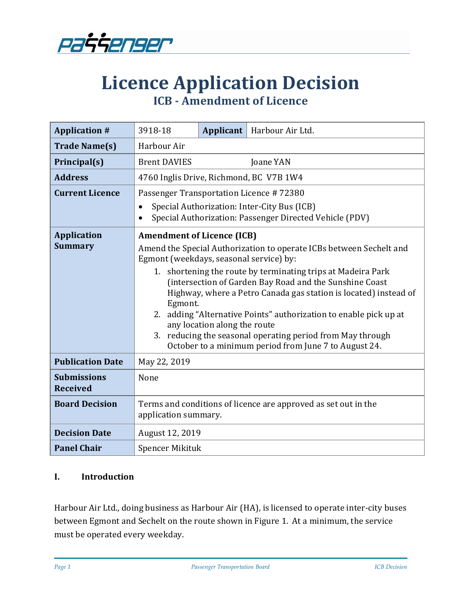

# **Licence Application Decision ICB - Amendment of Licence**

| <b>Application #</b>                  | 3918-18                                                                                                                                                                                                                                                                                                                                                                                                                                                                                                                                              | <b>Applicant</b> | Harbour Air Ltd. |  |
|---------------------------------------|------------------------------------------------------------------------------------------------------------------------------------------------------------------------------------------------------------------------------------------------------------------------------------------------------------------------------------------------------------------------------------------------------------------------------------------------------------------------------------------------------------------------------------------------------|------------------|------------------|--|
| <b>Trade Name(s)</b>                  | Harbour Air                                                                                                                                                                                                                                                                                                                                                                                                                                                                                                                                          |                  |                  |  |
| Principal(s)                          | <b>Brent DAVIES</b><br>Joane YAN                                                                                                                                                                                                                                                                                                                                                                                                                                                                                                                     |                  |                  |  |
| <b>Address</b>                        | 4760 Inglis Drive, Richmond, BC V7B 1W4                                                                                                                                                                                                                                                                                                                                                                                                                                                                                                              |                  |                  |  |
| <b>Current Licence</b>                | Passenger Transportation Licence #72380                                                                                                                                                                                                                                                                                                                                                                                                                                                                                                              |                  |                  |  |
|                                       | Special Authorization: Inter-City Bus (ICB)<br>Special Authorization: Passenger Directed Vehicle (PDV)<br>$\bullet$                                                                                                                                                                                                                                                                                                                                                                                                                                  |                  |                  |  |
| <b>Application</b>                    | <b>Amendment of Licence (ICB)</b>                                                                                                                                                                                                                                                                                                                                                                                                                                                                                                                    |                  |                  |  |
| <b>Summary</b>                        | Amend the Special Authorization to operate ICBs between Sechelt and<br>Egmont (weekdays, seasonal service) by:<br>1. shortening the route by terminating trips at Madeira Park<br>(intersection of Garden Bay Road and the Sunshine Coast<br>Highway, where a Petro Canada gas station is located) instead of<br>Egmont.<br>2. adding "Alternative Points" authorization to enable pick up at<br>any location along the route<br>3. reducing the seasonal operating period from May through<br>October to a minimum period from June 7 to August 24. |                  |                  |  |
|                                       |                                                                                                                                                                                                                                                                                                                                                                                                                                                                                                                                                      |                  |                  |  |
| <b>Publication Date</b>               | May 22, 2019                                                                                                                                                                                                                                                                                                                                                                                                                                                                                                                                         |                  |                  |  |
| <b>Submissions</b><br><b>Received</b> | None                                                                                                                                                                                                                                                                                                                                                                                                                                                                                                                                                 |                  |                  |  |
| <b>Board Decision</b>                 | Terms and conditions of licence are approved as set out in the<br>application summary.                                                                                                                                                                                                                                                                                                                                                                                                                                                               |                  |                  |  |
| <b>Decision Date</b>                  | August 12, 2019                                                                                                                                                                                                                                                                                                                                                                                                                                                                                                                                      |                  |                  |  |
| <b>Panel Chair</b>                    | Spencer Mikituk                                                                                                                                                                                                                                                                                                                                                                                                                                                                                                                                      |                  |                  |  |

#### **I. Introduction**

Harbour Air Ltd., doing business as Harbour Air (HA), is licensed to operate inter-city buses between Egmont and Sechelt on the route shown in Figure 1. At a minimum, the service must be operated every weekday.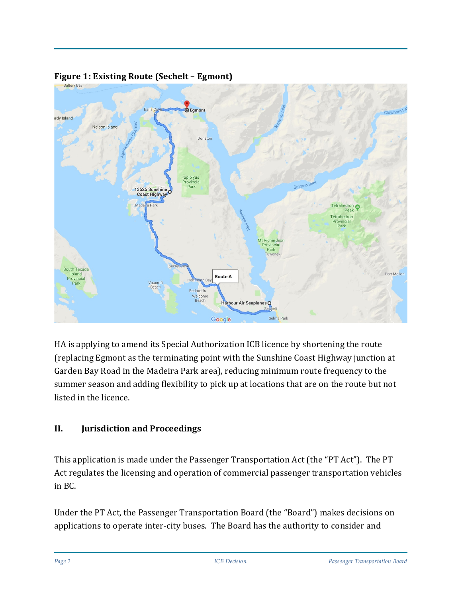

## **Figure 1: Existing Route (Sechelt – Egmont)**

HA is applying to amend its Special Authorization ICB licence by shortening the route (replacing Egmont as the terminating point with the Sunshine Coast Highway junction at Garden Bay Road in the Madeira Park area), reducing minimum route frequency to the summer season and adding flexibility to pick up at locations that are on the route but not listed in the licence.

# **II. Jurisdiction and Proceedings**

This application is made under the Passenger Transportation Act (the "PT Act"). The PT Act regulates the licensing and operation of commercial passenger transportation vehicles in BC.

Under the PT Act, the Passenger Transportation Board (the "Board") makes decisions on applications to operate inter-city buses. The Board has the authority to consider and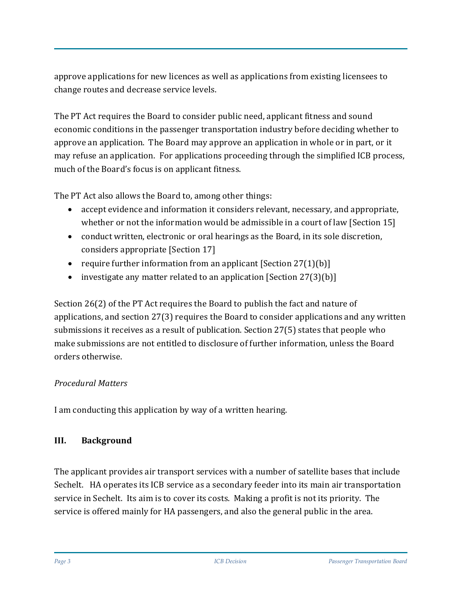approve applications for new licences as well as applications from existing licensees to change routes and decrease service levels.

The PT Act requires the Board to consider public need, applicant fitness and sound economic conditions in the passenger transportation industry before deciding whether to approve an application. The Board may approve an application in whole or in part, or it may refuse an application. For applications proceeding through the simplified ICB process, much of the Board's focus is on applicant fitness.

The PT Act also allows the Board to, among other things:

- accept evidence and information it considers relevant, necessary, and appropriate, whether or not the information would be admissible in a court of law [Section 15]
- conduct written, electronic or oral hearings as the Board, in its sole discretion, considers appropriate [Section 17]
- require further information from an applicant  $[Section 27(1)(b)]$
- investigate any matter related to an application [Section 27(3)(b)]

Section 26(2) of the PT Act requires the Board to publish the fact and nature of applications, and section 27(3) requires the Board to consider applications and any written submissions it receives as a result of publication. Section 27(5) states that people who make submissions are not entitled to disclosure of further information, unless the Board orders otherwise.

# *Procedural Matters*

I am conducting this application by way of a written hearing.

## **III. Background**

The applicant provides air transport services with a number of satellite bases that include Sechelt. HA operates its ICB service as a secondary feeder into its main air transportation service in Sechelt. Its aim is to cover its costs. Making a profit is not its priority. The service is offered mainly for HA passengers, and also the general public in the area.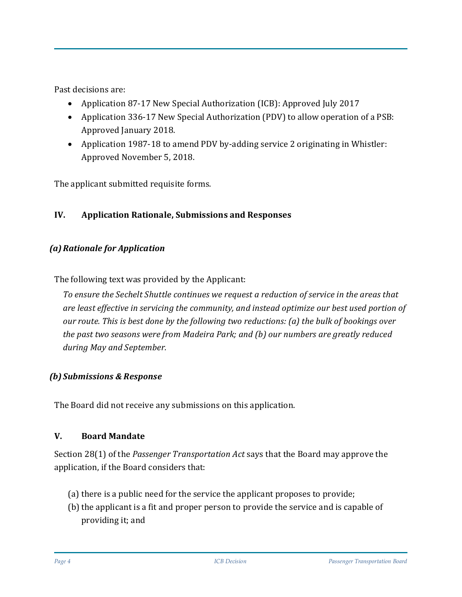Past decisions are:

- Application 87-17 New Special Authorization (ICB): Approved July 2017
- Application 336-17 New Special Authorization (PDV) to allow operation of a PSB: Approved January 2018.
- Application 1987-18 to amend PDV by-adding service 2 originating in Whistler: Approved November 5, 2018.

The applicant submitted requisite forms.

## **IV. Application Rationale, Submissions and Responses**

## *(a)Rationale for Application*

The following text was provided by the Applicant:

*To ensure the Sechelt Shuttle continues we request a reduction of service in the areas that are least effective in servicing the community, and instead optimize our best used portion of our route. This is best done by the following two reductions: (a) the bulk of bookings over the past two seasons were from Madeira Park; and (b) our numbers are greatly reduced during May and September.*

#### *(b) Submissions & Response*

The Board did not receive any submissions on this application.

#### **V. Board Mandate**

Section 28(1) of the *Passenger Transportation Act* says that the Board may approve the application, if the Board considers that:

- (a) there is a public need for the service the applicant proposes to provide;
- (b) the applicant is a fit and proper person to provide the service and is capable of providing it; and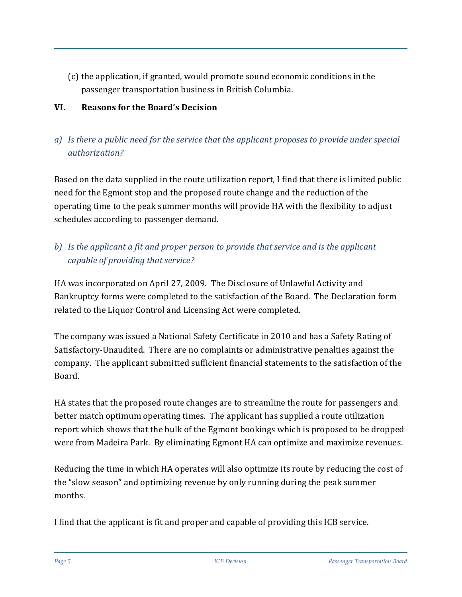(c) the application, if granted, would promote sound economic conditions in the passenger transportation business in British Columbia.

## **VI. Reasons for the Board's Decision**

# *a) Is there a public need for the service that the applicant proposes to provide under special authorization?*

Based on the data supplied in the route utilization report, I find that there is limited public need for the Egmont stop and the proposed route change and the reduction of the operating time to the peak summer months will provide HA with the flexibility to adjust schedules according to passenger demand.

# *b) Is the applicant a fit and proper person to provide that service and is the applicant capable of providing that service?*

HA was incorporated on April 27, 2009. The Disclosure of Unlawful Activity and Bankruptcy forms were completed to the satisfaction of the Board. The Declaration form related to the Liquor Control and Licensing Act were completed.

The company was issued a National Safety Certificate in 2010 and has a Safety Rating of Satisfactory-Unaudited. There are no complaints or administrative penalties against the company. The applicant submitted sufficient financial statements to the satisfaction of the Board.

HA states that the proposed route changes are to streamline the route for passengers and better match optimum operating times. The applicant has supplied a route utilization report which shows that the bulk of the Egmont bookings which is proposed to be dropped were from Madeira Park. By eliminating Egmont HA can optimize and maximize revenues.

Reducing the time in which HA operates will also optimize its route by reducing the cost of the "slow season" and optimizing revenue by only running during the peak summer months.

I find that the applicant is fit and proper and capable of providing this ICB service.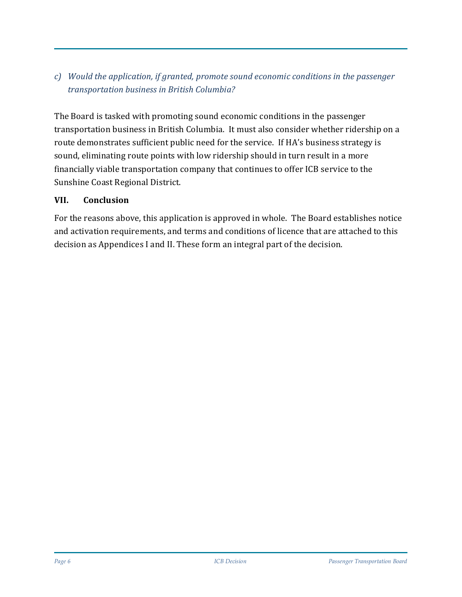# *c) Would the application, if granted, promote sound economic conditions in the passenger transportation business in British Columbia?*

The Board is tasked with promoting sound economic conditions in the passenger transportation business in British Columbia. It must also consider whether ridership on a route demonstrates sufficient public need for the service. If HA's business strategy is sound, eliminating route points with low ridership should in turn result in a more financially viable transportation company that continues to offer ICB service to the Sunshine Coast Regional District.

## **VII. Conclusion**

For the reasons above, this application is approved in whole. The Board establishes notice and activation requirements, and terms and conditions of licence that are attached to this decision as Appendices I and II. These form an integral part of the decision.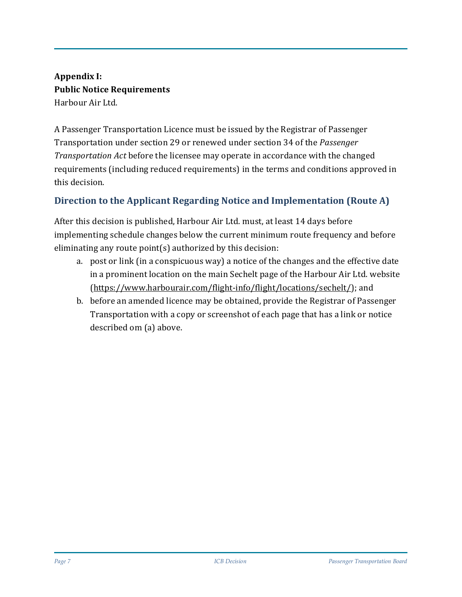# **Appendix I: Public Notice Requirements** Harbour Air Ltd.

A Passenger Transportation Licence must be issued by the Registrar of Passenger Transportation under section 29 or renewed under section 34 of the *Passenger Transportation Act* before the licensee may operate in accordance with the changed requirements (including reduced requirements) in the terms and conditions approved in this decision.

# **Direction to the Applicant Regarding Notice and Implementation (Route A)**

After this decision is published, Harbour Air Ltd. must, at least 14 days before implementing schedule changes below the current minimum route frequency and before eliminating any route point(s) authorized by this decision:

- a. post or link (in a conspicuous way) a notice of the changes and the effective date in a prominent location on the main Sechelt page of the Harbour Air Ltd. website [\(https://www.harbourair.com/flight-info/flight/locations/sechelt/\)](https://www.harbourair.com/flight-info/flight/locations/sechelt/); and
- b. before an amended licence may be obtained, provide the Registrar of Passenger Transportation with a copy or screenshot of each page that has a link or notice described om (a) above.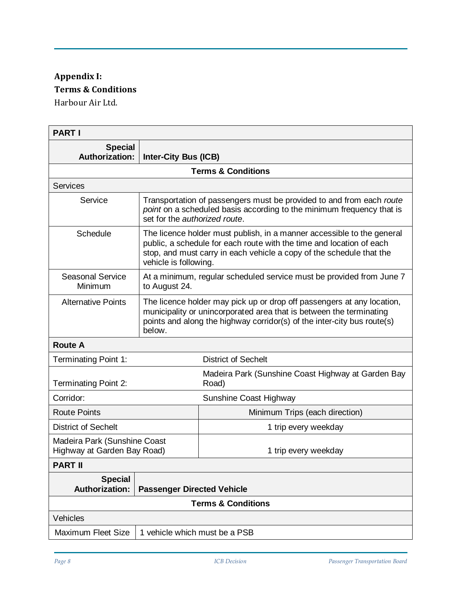# **Appendix I: Terms & Conditions** Harbour Air Ltd.

| <b>PART I</b>                                               |                                                                                                                                                                                                                                                 |                                                             |  |  |
|-------------------------------------------------------------|-------------------------------------------------------------------------------------------------------------------------------------------------------------------------------------------------------------------------------------------------|-------------------------------------------------------------|--|--|
| <b>Special</b><br><b>Authorization:</b>                     | <b>Inter-City Bus (ICB)</b>                                                                                                                                                                                                                     |                                                             |  |  |
| <b>Terms &amp; Conditions</b>                               |                                                                                                                                                                                                                                                 |                                                             |  |  |
| <b>Services</b>                                             |                                                                                                                                                                                                                                                 |                                                             |  |  |
| Service                                                     | Transportation of passengers must be provided to and from each route<br>point on a scheduled basis according to the minimum frequency that is<br>set for the authorized route.                                                                  |                                                             |  |  |
| Schedule                                                    | The licence holder must publish, in a manner accessible to the general<br>public, a schedule for each route with the time and location of each<br>stop, and must carry in each vehicle a copy of the schedule that the<br>vehicle is following. |                                                             |  |  |
| <b>Seasonal Service</b><br>Minimum                          | At a minimum, regular scheduled service must be provided from June 7<br>to August 24.                                                                                                                                                           |                                                             |  |  |
| <b>Alternative Points</b>                                   | The licence holder may pick up or drop off passengers at any location,<br>municipality or unincorporated area that is between the terminating<br>points and along the highway corridor(s) of the inter-city bus route(s)<br>below.              |                                                             |  |  |
| <b>Route A</b>                                              |                                                                                                                                                                                                                                                 |                                                             |  |  |
| Terminating Point 1:                                        |                                                                                                                                                                                                                                                 | <b>District of Sechelt</b>                                  |  |  |
| <b>Terminating Point 2:</b>                                 |                                                                                                                                                                                                                                                 | Madeira Park (Sunshine Coast Highway at Garden Bay<br>Road) |  |  |
| Corridor:                                                   |                                                                                                                                                                                                                                                 | Sunshine Coast Highway                                      |  |  |
| <b>Route Points</b>                                         |                                                                                                                                                                                                                                                 | Minimum Trips (each direction)                              |  |  |
| <b>District of Sechelt</b>                                  |                                                                                                                                                                                                                                                 | 1 trip every weekday                                        |  |  |
| Madeira Park (Sunshine Coast<br>Highway at Garden Bay Road) |                                                                                                                                                                                                                                                 | 1 trip every weekday                                        |  |  |
| <b>PART II</b>                                              |                                                                                                                                                                                                                                                 |                                                             |  |  |
| <b>Special</b><br><b>Authorization:</b>                     | <b>Passenger Directed Vehicle</b>                                                                                                                                                                                                               |                                                             |  |  |
| <b>Terms &amp; Conditions</b>                               |                                                                                                                                                                                                                                                 |                                                             |  |  |
| Vehicles                                                    |                                                                                                                                                                                                                                                 |                                                             |  |  |
| <b>Maximum Fleet Size</b>                                   | 1 vehicle which must be a PSB                                                                                                                                                                                                                   |                                                             |  |  |